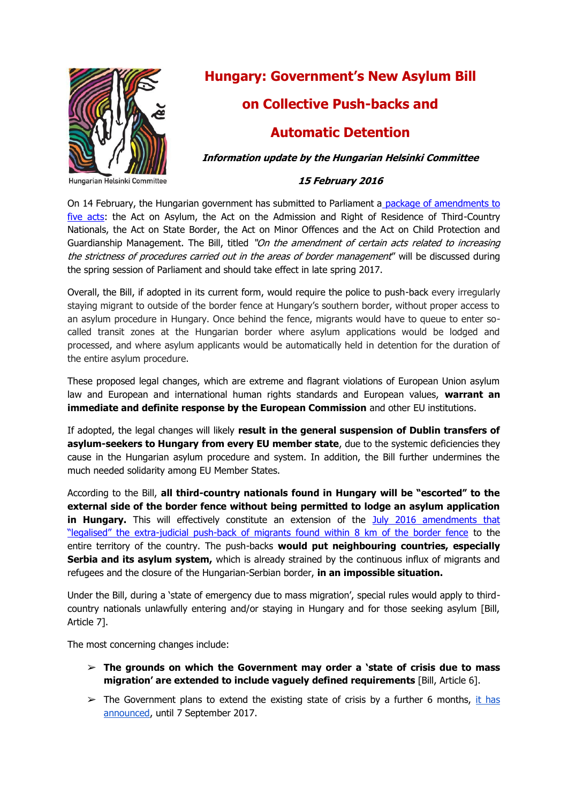

Hungarian Helsinki Committee

# **Hungary: Government's New Asylum Bill**

# **on Collective Push-backs and**

# **Automatic Detention**

**Information update by the Hungarian Helsinki Committee** 

### **15 February 2016**

On 14 February, the Hungarian government has submitted to Parliament a [package of amendments to](http://www.parlament.hu/irom40/13976/13976.pdf)  [five acts:](http://www.parlament.hu/irom40/13976/13976.pdf) the Act on Asylum, the Act on the Admission and Right of Residence of Third-Country Nationals, the Act on State Border, the Act on Minor Offences and the Act on Child Protection and Guardianship Management. The Bill, titled "On the amendment of certain acts related to increasing the strictness of procedures carried out in the areas of border management" will be discussed during the spring session of Parliament and should take effect in late spring 2017.

Overall, the Bill, if adopted in its current form, would require the police to push-back every irregularly staying migrant to outside of the border fence at Hungary's southern border, without proper access to an asylum procedure in Hungary. Once behind the fence, migrants would have to queue to enter socalled transit zones at the Hungarian border where asylum applications would be lodged and processed, and where asylum applicants would be automatically held in detention for the duration of the entire asylum procedure.

These proposed legal changes, which are extreme and flagrant violations of European Union asylum law and European and international human rights standards and European values, **warrant an immediate and definite response by the European Commission** and other EU institutions.

If adopted, the legal changes will likely **result in the general suspension of Dublin transfers of asylum-seekers to Hungary from every EU member state**, due to the systemic deficiencies they cause in the Hungarian asylum procedure and system. In addition, the Bill further undermines the much needed solidarity among EU Member States.

According to the Bill, **all third-country nationals found in Hungary will be "escorted" to the external side of the border fence without being permitted to lodge an asylum application in Hungary.** This will effectively constitute an extension of the July 2016 amendments that "legalised" the extra[-judicial push-back of migrants found within 8 km of the border fence](http://www.helsinki.hu/wp-content/uploads/HHC-info-update-push-backs-5-July-2016.pdf) to the entire territory of the country. The push-backs **would put neighbouring countries, especially Serbia and its asylum system,** which is already strained by the continuous influx of migrants and refugees and the closure of the Hungarian-Serbian border, **in an impossible situation.**

Under the Bill, during a 'state of emergency due to mass migration', special rules would apply to thirdcountry nationals unlawfully entering and/or staying in Hungary and for those seeking asylum [Bill, Article 7].

The most concerning changes include:

- ➢ **The grounds on which the Government may order a 'state of crisis due to mass migration' are extended to include vaguely defined requirements** [Bill, Article 6].
- $\triangleright$  The Government plans to extend the existing state of crisis by a further 6 months, it has [announced,](http://www.kormany.hu/en/news/crisis-situation-to-be-extended-to-beginning-of-september) until 7 September 2017.